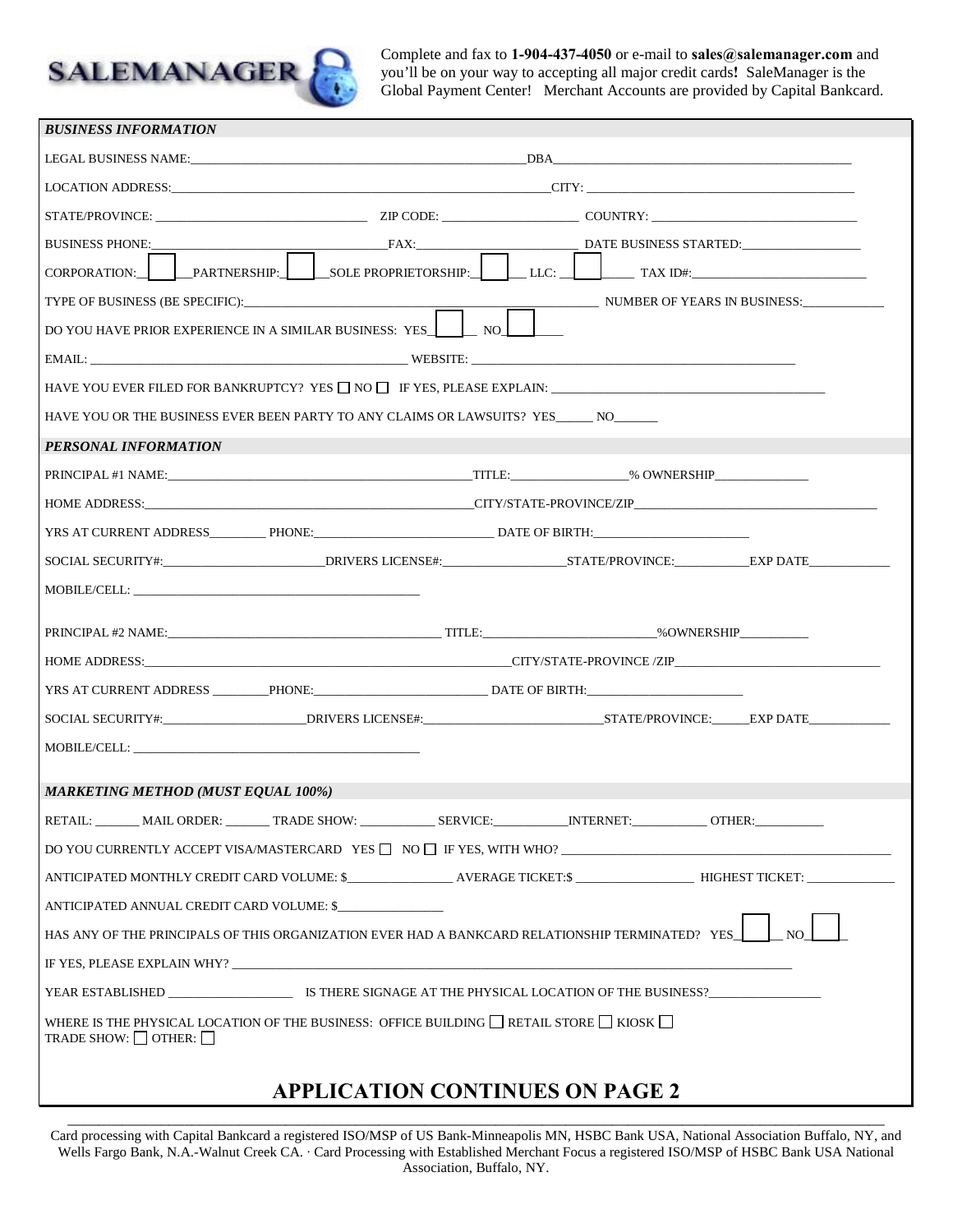

Complete and fax to **1-904-437-4050** or e-mail to **sales@salemanager.com** and you'll be on your way to accepting all major credit cards**!** SaleManager is the Global Payment Center!Merchant Accounts are provided by Capital Bankcard.

| <b>BUSINESS INFORMATION</b>                                                                                                                                                                                                                                                                                                                                                                                                                                                                                                             |                             |  |  |  |
|-----------------------------------------------------------------------------------------------------------------------------------------------------------------------------------------------------------------------------------------------------------------------------------------------------------------------------------------------------------------------------------------------------------------------------------------------------------------------------------------------------------------------------------------|-----------------------------|--|--|--|
|                                                                                                                                                                                                                                                                                                                                                                                                                                                                                                                                         |                             |  |  |  |
|                                                                                                                                                                                                                                                                                                                                                                                                                                                                                                                                         |                             |  |  |  |
|                                                                                                                                                                                                                                                                                                                                                                                                                                                                                                                                         |                             |  |  |  |
| <b>BUSINESS PHONE:</b>                                                                                                                                                                                                                                                                                                                                                                                                                                                                                                                  | FAX: DATE BUSINESS STARTED: |  |  |  |
| CORPORATION: PARTNERSHIP: SOLE PROPRIETORSHIP: LLC: LAX ID#:                                                                                                                                                                                                                                                                                                                                                                                                                                                                            |                             |  |  |  |
|                                                                                                                                                                                                                                                                                                                                                                                                                                                                                                                                         |                             |  |  |  |
| DO YOU HAVE PRIOR EXPERIENCE IN A SIMILAR BUSINESS: YES. IN NO                                                                                                                                                                                                                                                                                                                                                                                                                                                                          |                             |  |  |  |
|                                                                                                                                                                                                                                                                                                                                                                                                                                                                                                                                         |                             |  |  |  |
| HAVE YOU EVER FILED FOR BANKRUPTCY? YES $\Box$ NO $\Box$ IF YES, PLEASE EXPLAIN:                                                                                                                                                                                                                                                                                                                                                                                                                                                        |                             |  |  |  |
| HAVE YOU OR THE BUSINESS EVER BEEN PARTY TO ANY CLAIMS OR LAWSUITS? YES_______ NO_______                                                                                                                                                                                                                                                                                                                                                                                                                                                |                             |  |  |  |
| PERSONAL INFORMATION                                                                                                                                                                                                                                                                                                                                                                                                                                                                                                                    |                             |  |  |  |
|                                                                                                                                                                                                                                                                                                                                                                                                                                                                                                                                         |                             |  |  |  |
|                                                                                                                                                                                                                                                                                                                                                                                                                                                                                                                                         |                             |  |  |  |
| YRS AT CURRENT ADDRESS___________PHONE:_______________________________DATE OF BIRTH:__________________________                                                                                                                                                                                                                                                                                                                                                                                                                          |                             |  |  |  |
|                                                                                                                                                                                                                                                                                                                                                                                                                                                                                                                                         |                             |  |  |  |
| MOBILE/CELL:                                                                                                                                                                                                                                                                                                                                                                                                                                                                                                                            |                             |  |  |  |
|                                                                                                                                                                                                                                                                                                                                                                                                                                                                                                                                         |                             |  |  |  |
|                                                                                                                                                                                                                                                                                                                                                                                                                                                                                                                                         |                             |  |  |  |
| YRS AT CURRENT ADDRESS ________PHONE:___________________________________DATE OF BIRTH:______________                                                                                                                                                                                                                                                                                                                                                                                                                                    |                             |  |  |  |
| SOCIAL SECURITY#:________________________DRIVERS LICENSE#:_____________________________STATE/PROVINCE:______EXP DATE___________________                                                                                                                                                                                                                                                                                                                                                                                                 |                             |  |  |  |
| $\text{MOBILE/CELL:}\textcolor{red}{\overbrace{\text{MOBILE/CELL:}\text{---}}\textcolor{red}{\overbrace{\text{MOBILE/CELL:}\text{---}}\textcolor{red}{\overbrace{\text{MOBILE/CELL:}\text{---}}\textcolor{red}{\overbrace{\text{MOBILE/CELL:}\text{---}}\textcolor{red}{\overbrace{\text{MOBILE/CELL:}\text{---}}\textcolor{red}{\overbrace{\text{MOBILE/CELL:}\text{---}}\textcolor{red}{\overbrace{\text{MOBILE/CELL:}\text{---}}\textcolor{red}{\overbrace{\text{MOBILE/CELL:}\text{---}}\textcolor{red}{\overbrace{\text{MOBILE/CE$ |                             |  |  |  |
|                                                                                                                                                                                                                                                                                                                                                                                                                                                                                                                                         |                             |  |  |  |
| <b>MARKETING METHOD (MUST EQUAL 100%)</b>                                                                                                                                                                                                                                                                                                                                                                                                                                                                                               |                             |  |  |  |
| RETAIL: _________ MAIL ORDER: _________ TRADE SHOW: _________________SERVICE: ______________ INTERNET: ___________ OTHER:                                                                                                                                                                                                                                                                                                                                                                                                               |                             |  |  |  |
| DO YOU CURRENTLY ACCEPT VISAMASTERCARD YES $\Box$ NO $\Box$ IF YES, WITH WHO?                                                                                                                                                                                                                                                                                                                                                                                                                                                           |                             |  |  |  |
| ANTICIPATED MONTHLY CREDIT CARD VOLUME: \$_________________AVERAGE TICKET:\$ ________________________HIGHEST TICKET: ___________________                                                                                                                                                                                                                                                                                                                                                                                                |                             |  |  |  |
| ANTICIPATED ANNUAL CREDIT CARD VOLUME: \$                                                                                                                                                                                                                                                                                                                                                                                                                                                                                               |                             |  |  |  |
| HAS ANY OF THE PRINCIPALS OF THIS ORGANIZATION EVER HAD A BANKCARD RELATIONSHIP TERMINATED? YES<br>NO.                                                                                                                                                                                                                                                                                                                                                                                                                                  |                             |  |  |  |
| IF YES, PLEASE EXPLAIN WHY?                                                                                                                                                                                                                                                                                                                                                                                                                                                                                                             |                             |  |  |  |
|                                                                                                                                                                                                                                                                                                                                                                                                                                                                                                                                         |                             |  |  |  |
| WHERE IS THE PHYSICAL LOCATION OF THE BUSINESS: OFFICE BUILDING $\Box$ RETAIL STORE $\Box$ KIOSK $\Box$<br>TRADE SHOW: $\Box$ OTHER: $\Box$                                                                                                                                                                                                                                                                                                                                                                                             |                             |  |  |  |
|                                                                                                                                                                                                                                                                                                                                                                                                                                                                                                                                         |                             |  |  |  |

**APPLICATION CONTINUES ON PAGE 2**

\_\_\_\_\_\_\_\_\_\_\_\_\_\_\_\_\_\_\_\_\_\_\_\_\_\_\_\_\_\_\_\_\_\_\_\_\_\_\_\_\_\_\_\_\_\_\_\_\_\_\_\_\_\_\_\_\_\_\_\_\_\_\_\_\_\_\_\_\_\_\_\_\_\_\_\_\_\_\_\_\_\_\_\_\_\_\_\_\_\_\_\_\_\_\_\_\_\_\_\_\_\_\_\_\_ Card processing with Capital Bankcard a registered ISO/MSP of US Bank-Minneapolis MN, HSBC Bank USA, National Association Buffalo, NY, and Wells Fargo Bank, N.A.-Walnut Creek CA. ∙ Card Processing with Established Merchant Focus a registered ISO/MSP of HSBC Bank USA National Association, Buffalo, NY.